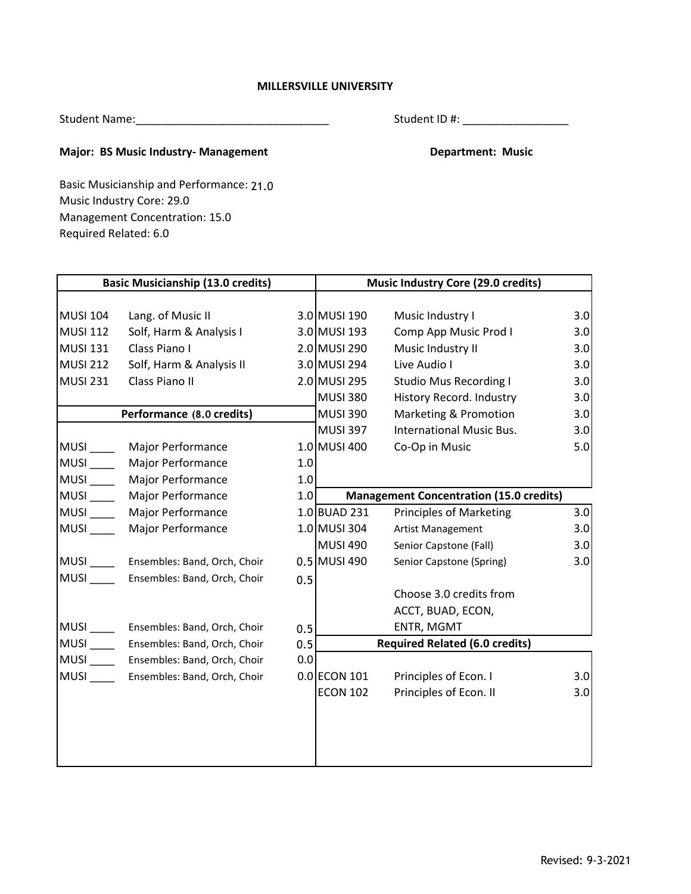## **MILLERSVILLE UNIVERSITY**

Student Name:\_\_\_\_\_\_\_\_\_\_\_\_\_\_\_\_\_\_\_\_\_\_\_\_\_\_\_\_\_\_\_

Student ID #: \_\_\_\_\_\_\_\_\_\_\_\_\_\_\_\_\_

## **Major: BS Music Industry- Management Communisty Communisty Communisty Communisty Communisty Communisty Communisty Communisty Communisty Communisty Communisty Communisty Communisty Communisty Communisty Communisty Communis**

Music Industry Core: 29.0 Required Related: 6.0 Management Concentration: 15.0 Basic Musicianship and Performance: 21.0

| <b>Basic Musicianship (13.0 credits)</b> |                                   |     | <b>Music Industry Core (29.0 credits)</b>             |                                       |     |  |
|------------------------------------------|-----------------------------------|-----|-------------------------------------------------------|---------------------------------------|-----|--|
| <b>MUSI 104</b>                          | Lang. of Music II                 |     | 3.0 MUSI 190                                          | Music Industry I                      | 3.0 |  |
| <b>MUSI 112</b>                          | Solf, Harm & Analysis I           |     | 3.0 MUSI 193                                          | Comp App Music Prod I                 | 3.0 |  |
| <b>MUSI 131</b>                          | Class Piano I                     |     | 2.0 MUSI 290                                          | Music Industry II                     | 3.0 |  |
| <b>MUSI 212</b>                          | Solf, Harm & Analysis II          |     | 3.0 MUSI 294                                          | Live Audio I                          | 3.0 |  |
| <b>MUSI 231</b>                          | Class Piano II                    |     | 2.0 MUSI 295                                          | <b>Studio Mus Recording I</b>         | 3.0 |  |
|                                          |                                   |     | <b>MUSI 380</b>                                       | History Record. Industry              | 3.0 |  |
|                                          | Performance (8.0 credits)         |     | <b>MUSI 390</b>                                       | Marketing & Promotion                 | 3.0 |  |
|                                          |                                   |     | <b>MUSI 397</b>                                       | <b>International Music Bus.</b>       | 3.0 |  |
|                                          | MUSI Major Performance            |     | 1.0 MUSI 400                                          | Co-Op in Music                        | 5.0 |  |
| MUSI                                     | Major Performance                 | 1.0 |                                                       |                                       |     |  |
| $MUSI$ <sub>____</sub>                   | Major Performance                 | 1.0 |                                                       |                                       |     |  |
| MUSI                                     | Major Performance                 |     | 1.0<br><b>Management Concentration (15.0 credits)</b> |                                       |     |  |
|                                          | MUSI Major Performance            |     | 1.0 BUAD 231                                          | <b>Principles of Marketing</b>        | 3.0 |  |
| MUSI                                     | Major Performance                 |     | 1.0 MUSI 304                                          | Artist Management                     | 3.0 |  |
|                                          |                                   |     | <b>MUSI 490</b>                                       | Senior Capstone (Fall)                | 3.0 |  |
|                                          | MUSI Ensembles: Band, Orch, Choir |     | $0.5$ MUSI 490                                        | Senior Capstone (Spring)              | 3.0 |  |
|                                          | Ensembles: Band, Orch, Choir      | 0.5 |                                                       |                                       |     |  |
|                                          |                                   |     |                                                       | Choose 3.0 credits from               |     |  |
|                                          |                                   |     |                                                       | ACCT, BUAD, ECON,                     |     |  |
| MUSI                                     | Ensembles: Band, Orch, Choir      | 0.5 |                                                       | ENTR, MGMT                            |     |  |
| $MUSI$ <sub>_____</sub>                  | Ensembles: Band, Orch, Choir      | 0.5 |                                                       | <b>Required Related (6.0 credits)</b> |     |  |
|                                          | MUSI Ensembles: Band, Orch, Choir | 0.0 |                                                       |                                       |     |  |
| MUSI_____                                | Ensembles: Band, Orch, Choir      |     | 0.0 ECON 101                                          | Principles of Econ. I                 | 3.0 |  |
|                                          |                                   |     | <b>ECON 102</b>                                       | Principles of Econ. II                | 3.0 |  |
|                                          |                                   |     |                                                       |                                       |     |  |
|                                          |                                   |     |                                                       |                                       |     |  |
|                                          |                                   |     |                                                       |                                       |     |  |
|                                          |                                   |     |                                                       |                                       |     |  |